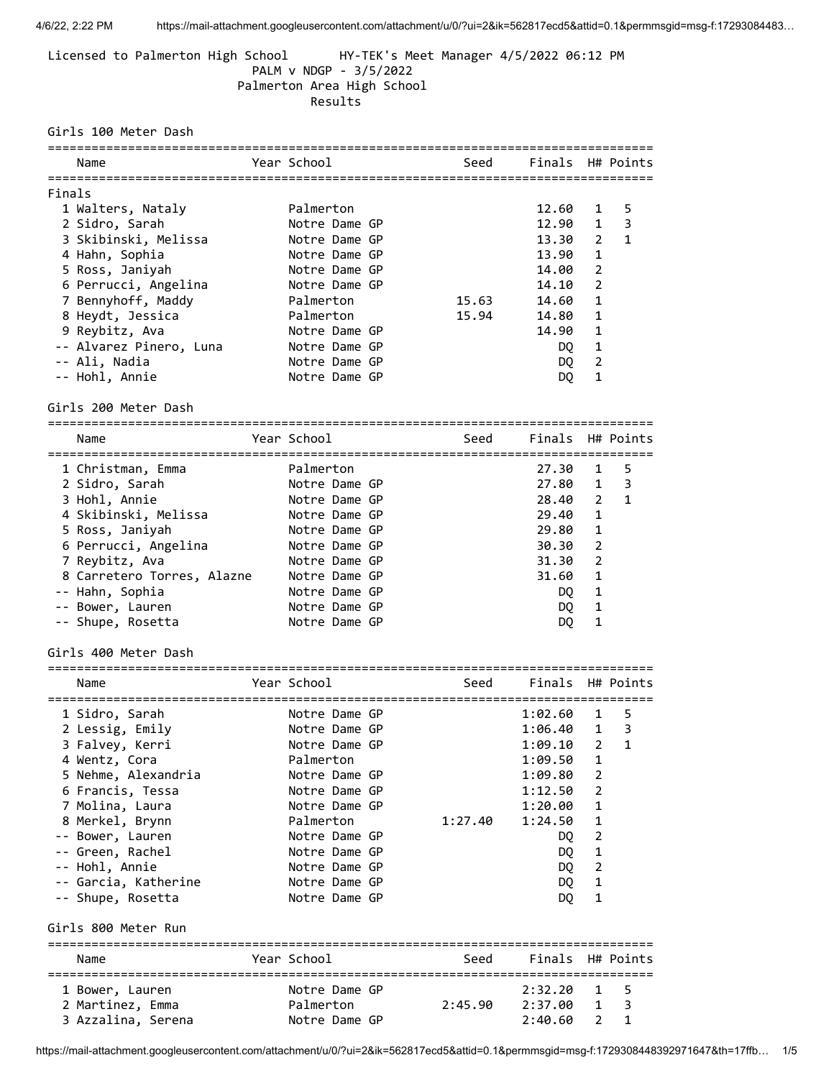Licensed to Palmerton High School HY-TEK's Meet Manager 4/5/2022 06:12 PM PALM v NDGP - 3/5/2022 Palmerton Area High School

Results

Girls 100 Meter Dash

|        | Name                            | Year School                    | Seed    | Finals H# Points |                       |              |
|--------|---------------------------------|--------------------------------|---------|------------------|-----------------------|--------------|
| Finals |                                 |                                |         |                  |                       |              |
|        | 1 Walters, Nataly               | Palmerton                      |         | 12.60            | 1                     | 5            |
|        | 2 Sidro, Sarah                  | Notre Dame GP                  |         | 12.90            | 1                     | 3            |
|        | 3 Skibinski, Melissa            | Notre Dame GP                  |         | 13.30            | 2                     | 1            |
|        | 4 Hahn, Sophia                  | Notre Dame GP                  |         | 13.90            | 1                     |              |
|        | 5 Ross, Janiyah                 | Notre Dame GP                  |         | 14.00            | $\overline{2}$        |              |
|        | 6 Perrucci, Angelina            | Notre Dame GP                  |         | 14.10            | $\overline{2}$        |              |
|        | 7 Bennyhoff, Maddy              | Palmerton                      | 15.63   | 14.60            | 1                     |              |
|        | 8 Heydt, Jessica                | Palmerton                      | 15.94   | 14.80            | 1                     |              |
|        | 9 Reybitz, Ava                  | Notre Dame GP                  |         | 14.90            | 1                     |              |
|        |                                 | Notre Dame GP                  |         |                  | 1                     |              |
|        | -- Alvarez Pinero, Luna         |                                |         | DQ               |                       |              |
|        | -- Ali, Nadia<br>-- Hohl, Annie | Notre Dame GP<br>Notre Dame GP |         | DQ<br>DQ         | 2<br>1                |              |
|        | Girls 200 Meter Dash            |                                |         |                  |                       |              |
|        |                                 |                                |         |                  |                       |              |
|        | Name                            | Year School                    | Seed    | Finals H# Points |                       |              |
|        | 1 Christman, Emma               | Palmerton                      |         | 27.30            | 1                     | 5            |
|        | 2 Sidro, Sarah                  | Notre Dame GP                  |         | 27.80            | 1                     | 3            |
|        | 3 Hohl, Annie                   | Notre Dame GP                  |         | 28.40            | 2                     | $\mathbf{1}$ |
|        | 4 Skibinski, Melissa            | Notre Dame GP                  |         | 29.40            | $\mathbf{1}$          |              |
|        | 5 Ross, Janiyah                 | Notre Dame GP                  |         | 29.80            | 1                     |              |
|        | 6 Perrucci, Angelina            | Notre Dame GP                  |         | 30.30            | 2                     |              |
|        | 7 Reybitz, Ava                  | Notre Dame GP                  |         | 31.30            | 2                     |              |
|        | 8 Carretero Torres, Alazne      | Notre Dame GP                  |         | 31.60            | 1                     |              |
|        | -- Hahn, Sophia                 | Notre Dame GP                  |         | DQ               | 1                     |              |
|        | -- Bower, Lauren                | Notre Dame GP                  |         | DQ               | 1                     |              |
|        | -- Shupe, Rosetta               | Notre Dame GP                  |         | DQ               | 1                     |              |
|        | Girls 400 Meter Dash            |                                |         |                  |                       |              |
|        | Name                            | Year School                    | Seed    | Finals           |                       | H# Points    |
|        |                                 |                                |         |                  |                       |              |
|        | 1 Sidro, Sarah                  | Notre Dame GP                  |         | 1:02.60          | 1                     | 5            |
|        | 2 Lessig, Emily                 | Notre Dame GP                  |         | 1:06.40          | $\mathbf{1}$          | 3            |
|        | 3 Falvey, Kerri                 | Notre Dame GP                  |         | 1:09.10          | 2                     | $\mathbf{1}$ |
|        | 4 Wentz, Cora                   | Palmerton                      |         | 1:09.50          | 1                     |              |
|        | 5 Nehme, Alexandria             | Notre Dame GP                  |         | 1:09.80          | 2                     |              |
|        | 6 Francis, Tessa                | Notre Dame GP                  |         | 1:12.50          | $\overline{2}$        |              |
|        | 7 Molina, Laura                 | Notre Dame GP                  |         | 1:20.00          | 1                     |              |
|        | 8 Merkel, Brynn                 | Palmerton                      | 1:27.40 | 1:24.50          | 1                     |              |
|        | -- Bower, Lauren                | Notre Dame GP                  |         | DQ.              | 2                     |              |
|        | -- Green, Rachel                | Notre Dame GP                  |         | DQ               | 1                     |              |
|        | -- Hohl, Annie                  | Notre Dame GP                  |         | DQ               | $\overline{2}$        |              |
|        | -- Garcia, Katherine            | Notre Dame GP                  |         | DQ               | $\mathbf{1}$          |              |
|        | -- Shupe, Rosetta               | Notre Dame GP                  |         | DQ               | $\mathbf{1}$          |              |
|        |                                 |                                |         |                  |                       |              |
|        | Girls 800 Meter Run             |                                |         |                  |                       |              |
|        | Name                            | Year School                    | Seed    | Finals           |                       | H# Points    |
|        | 1 Bower, Lauren                 | Notre Dame GP                  |         | 2:32.20          | 1                     | 5            |
|        | 2 Martinez, Emma                | Palmerton                      | 2:45.90 | 2:37.00          | $\mathbf{1}$          | 3            |
|        | 3 Azzalina, Serena              | Notre Dame GP                  |         | 2:40.60          | $\mathbf{2}^{\prime}$ | 1            |

https://mail-attachment.googleusercontent.com/attachment/u/0/?ui=2&ik=562817ecd5&attid=0.1&permmsgid=msg-f:1729308448392971647&th=17ffb… 1/5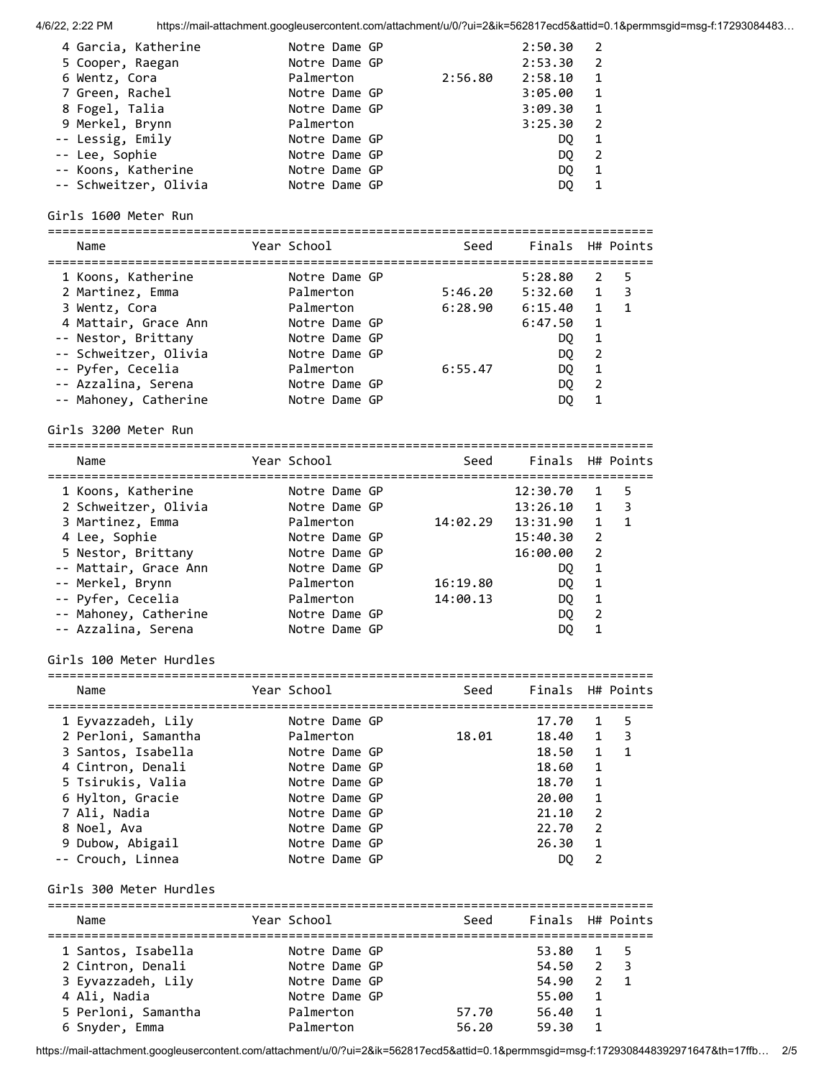4/6/22, 2:22 PM https://mail-attachment.googleusercontent.com/attachment/u/0/?ui=2&ik=562817ecd5&attid=0.1&permmsgid=msg-f:17293084483…

| 4 Garcia, Katherine   | Notre Dame GP |         | 2:50.30 | $\overline{\phantom{0}}$ |
|-----------------------|---------------|---------|---------|--------------------------|
| 5 Cooper, Raegan      | Notre Dame GP |         | 2:53.30 | $\overline{2}$           |
| 6 Wentz, Cora         | Palmerton     | 2:56.80 | 2:58.10 | $\overline{1}$           |
| 7 Green, Rachel       | Notre Dame GP |         | 3:05.00 | $\blacksquare$           |
| 8 Fogel, Talia        | Notre Dame GP |         | 3:09.30 | $\overline{1}$           |
| 9 Merkel, Brynn       | Palmerton     |         | 3:25.30 | $\overline{2}$           |
| -- Lessig, Emily      | Notre Dame GP |         | DO.     | -1                       |
| -- Lee, Sophie        | Notre Dame GP |         | DO.     | 2                        |
| -- Koons, Katherine   | Notre Dame GP |         | DO.     | -1                       |
| -- Schweitzer, Olivia | Notre Dame GP |         | DO.     |                          |

# Girls 1600 Meter Run

===================================================================================

Name Year School Seed Finals H# Points

| Notre Dame GP |         | 5:28.80 | 2 5            |                                |
|---------------|---------|---------|----------------|--------------------------------|
| Palmerton     | 5:46.20 |         |                |                                |
| Palmerton     | 6:28.90 |         |                |                                |
| Notre Dame GP |         | 6:47.50 | -1             |                                |
| Notre Dame GP |         | DO.     | -1             |                                |
| Notre Dame GP |         | DO.     | $\overline{2}$ |                                |
| Palmerton     | 6:55.47 | DO.     | -1             |                                |
| Notre Dame GP |         | DO.     | $\overline{2}$ |                                |
| Notre Dame GP |         | DO.     |                |                                |
|               |         |         |                | $5:32.60$ 1 3<br>$6:15.40$ 1 1 |

### Girls 3200 Meter Run

| Name                  | Year School   | Seed     | Finals H# Points           |                |              |
|-----------------------|---------------|----------|----------------------------|----------------|--------------|
| 1 Koons, Katherine    | Notre Dame GP |          | 12:30.70                   | 1 5            |              |
| 2 Schweitzer, Olivia  | Notre Dame GP |          | $13:26.10 \quad 1 \quad 3$ |                |              |
| 3 Martinez, Emma      | Palmerton     | 14:02.29 | 13:31.90                   | $\mathbf{1}$   | $\mathbf{1}$ |
| 4 Lee, Sophie         | Notre Dame GP |          | 15:40.30                   | $\overline{2}$ |              |
| 5 Nestor, Brittany    | Notre Dame GP |          | 16:00.00                   | 2              |              |
| -- Mattair, Grace Ann | Notre Dame GP |          | DO.                        | 1              |              |
| -- Merkel, Brynn      | Palmerton     | 16:19.80 | DO.                        | 1              |              |
| -- Pyfer, Cecelia     | Palmerton     | 14:00.13 | DO.                        | 1              |              |
| -- Mahoney, Catherine | Notre Dame GP |          | DO.                        | -2             |              |
| -- Azzalina, Serena   | Notre Dame GP |          | DO                         |                |              |

#### Girls 100 Meter Hurdles

| Name                | Year School   | Seed  | Finals H# Points |              |  |
|---------------------|---------------|-------|------------------|--------------|--|
| 1 Eyvazzadeh, Lily  | Notre Dame GP |       | 17.70            | 1 5          |  |
| 2 Perloni, Samantha | Palmerton     | 18.01 | 18.40 1 3        |              |  |
| 3 Santos, Isabella  | Notre Dame GP |       | 18.50 1 1        |              |  |
| 4 Cintron, Denali   | Notre Dame GP |       | 18.60            | 1            |  |
| 5 Tsirukis, Valia   | Notre Dame GP |       | 18.70            | 1            |  |
| 6 Hylton, Gracie    | Notre Dame GP |       | 20.00            | $\mathbf{1}$ |  |
| 7 Ali, Nadia        | Notre Dame GP |       | 21.10            | -2           |  |
| 8 Noel, Ava         | Notre Dame GP |       | 22.70            | -2           |  |
| 9 Dubow, Abigail    | Notre Dame GP |       | 26.30            | $\mathbf{1}$ |  |
| -- Crouch, Linnea   | Notre Dame GP |       | DO.              | 2            |  |

## Girls 300 Meter Hurdles

| Name                | Year School   | Seed  | Finals H# Points |                            |     |
|---------------------|---------------|-------|------------------|----------------------------|-----|
| 1 Santos, Isabella  | Notre Dame GP |       | 53.80            | $1 \quad 5$                |     |
| 2 Cintron, Denali   | Notre Dame GP |       | 54.50            |                            | 2 3 |
| 3 Eyvazzadeh, Lily  | Notre Dame GP |       | 54.90            | $\overline{\phantom{0}}$ 2 |     |
| 4 Ali, Nadia        | Notre Dame GP |       | 55.00            | -1                         |     |
| 5 Perloni, Samantha | Palmerton     | 57.70 | 56.40            | $\mathbf{1}$               |     |
| 6 Snyder, Emma      | Palmerton     | 56.20 | 59.30            | -1                         |     |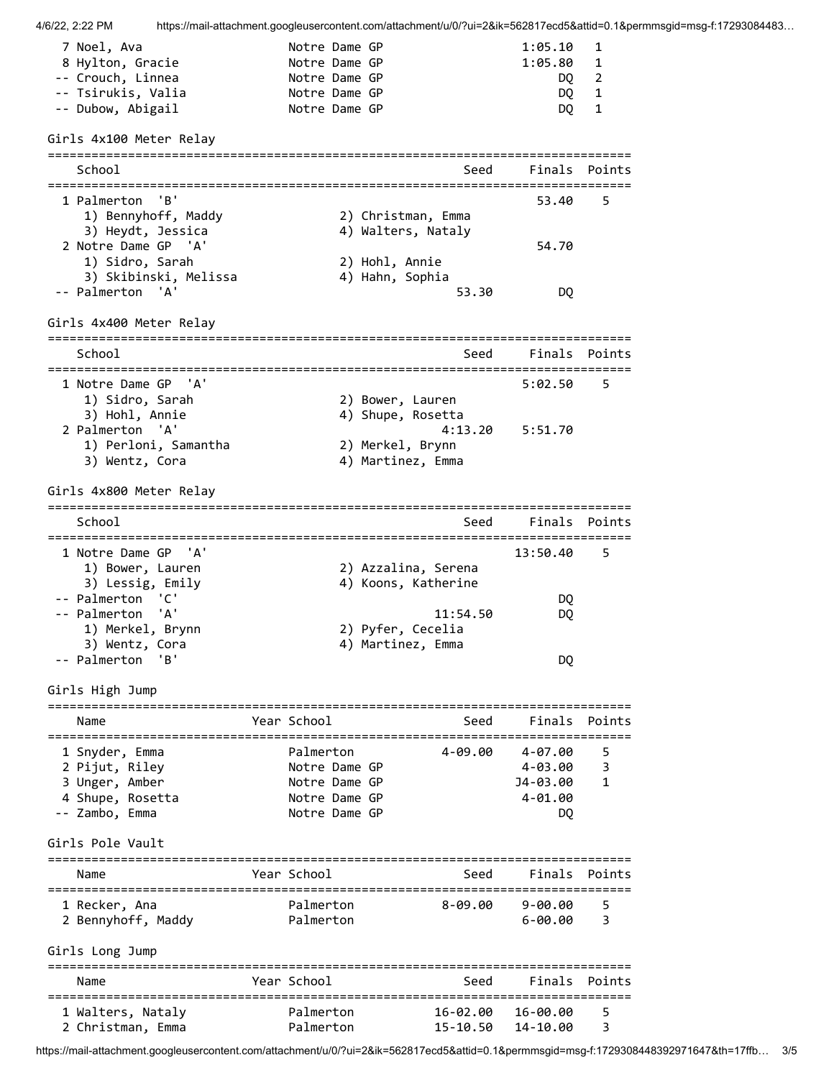4/6/22, 2:22 PM https://mail-attachment.googleusercontent.com/attachment/u/0/?ui=2&ik=562817ecd5&attid=0.1&permmsgid=msg-f:17293084483… https://mail-attachment.googleusercontent.com/attachment/u/0/?ui=2&ik=562817ecd5&attid=0.1&permmsgid=msg-f:1729308448392971647&th=17ffb… 3/5 7 Noel, Ava Notre Dame GP 1:05.10 1 8 Hylton, Gracie Notre Dame GP 1:05.80 1 -- Crouch, Linnea Notre Dame GP DQ 2 -- Tsirukis, Valia Notre Dame GP DQ 1 -- Dubow, Abigail Notre Dame GP DQ 1 Girls 4x100 Meter Relay ================================================================================ School Seed Finals Points ================================================================================ 1 Palmerton 'B' 53.40 5 1) Bennyhoff, Maddy 2) Christman, Emma 3) Heydt, Jessica (4) Walters, Nataly 2 Notre Dame GP 'A' 54.70 1) Sidro, Sarah 2) Hohl, Annie 3) Skibinski, Melissa (4) Hahn, Sophia -- Palmerton 'A' 53.30 DQ Girls 4x400 Meter Relay ================================================================================ School School School Seed Finals Points ================================================================================ 1 Notre Dame GP 'A' 5:02.50 5 1) Sidro, Sarah 2) Bower, Lauren<br>3) Hohl, Annie 21, 2008, 2011 Marshall Alamerton<br>211 Marshalm Marshall Alamerton (A' 4) Shupe, Rosetta<br>4) Shupe, Rosetta 2 Palmerton 'A' 4:13.20 5:51.70<br>1) Perloni, Samantha 2) Merkel, Brynn<br>2) Merkel, Brynn 1) Perloni, Samantha 3) Wentz, Cora (2008) 4) Martinez, Emma Girls 4x800 Meter Relay ================================================================================ School School School Seed Finals Points ================================================================================ 1 Notre Dame GP 'A' 13:50.40 5 1) Bower, Lauren (2) Azzalina, Serena 3) Lessig, Emily (4) Koons, Katherine -- Palmerton 'C' DQ -- Palmerton 'A' 11:54.50 DQ<br>1) Merkel, Brynn 2) Pyfer, Cecelia 2) Pyfer, Cecelia 3) Wentz, Cora (2008) 4) Martinez, Emma -- Palmerton 'B' DQ Girls High Jump ================================================================================ Name The School Seed Finals Points (Name School Seed Finals Points ================================================================================ 1 Snyder, Emma Palmerton 4-09.00 4-07.00 5 2 Pijut, Riley Notre Dame GP 4-03.00 3 3 Unger, Amber Notre Dame GP J4-03.00 1 4 Shupe, Rosetta Notre Dame GP 4-01.00 -- Zambo, Emma Notre Dame GP DQ Girls Pole Vault ================================================================================ Name The Year School Contract Seed Finals Points ================================================================================ 1 Recker, Ana Palmerton 8-09.00 9-00.00 5 2 Bennyhoff, Maddy Palmerton 6-00.00 3 Girls Long Jump ================================================================================ Name The Year School Seed Finals Points ================================================================================ 1 Walters, Nataly Palmerton 16-02.00 16-00.00 5 2 Christman, Emma Palmerton 15-10.50 14-10.00 3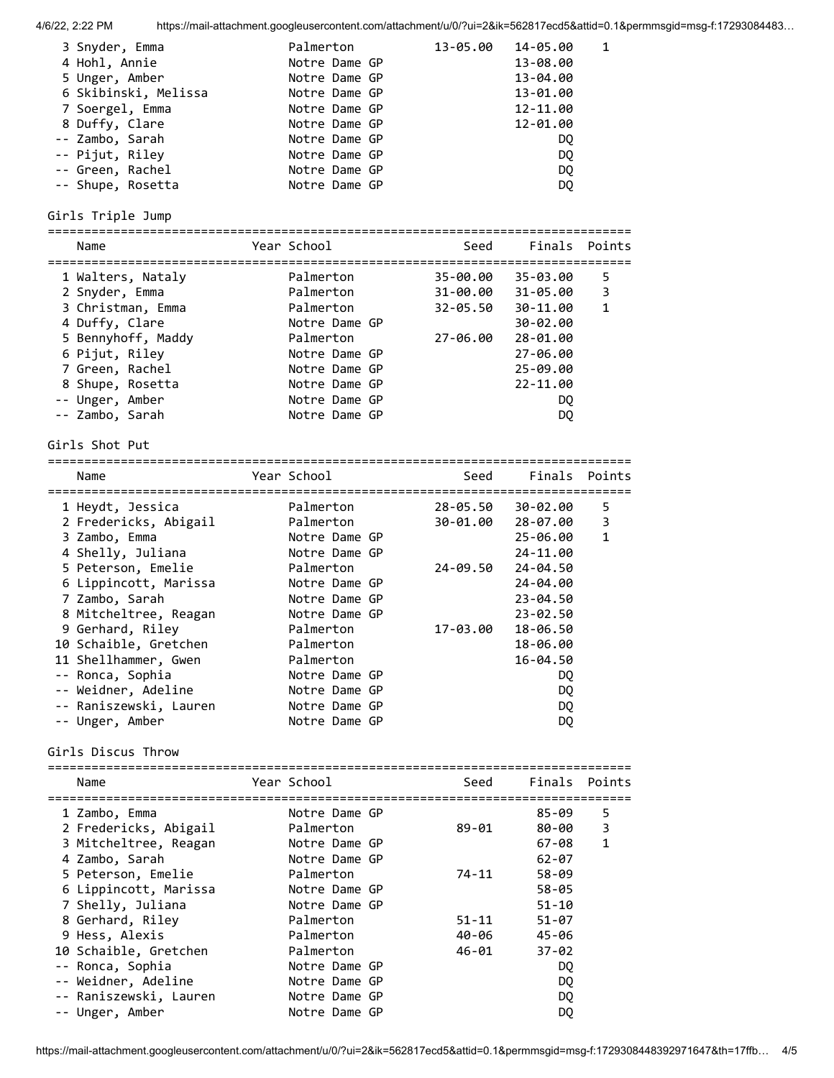4/6/22, 2:22 PM https://mail-attachment.googleusercontent.com/attachment/u/0/?ui=2&ik=562817ecd5&attid=0.1&permmsgid=msg-f:17293084483…

| 3 Snyder, Emma       | Palmerton     | 13-05.00 14-05.00 |  |
|----------------------|---------------|-------------------|--|
| 4 Hohl, Annie        | Notre Dame GP | 13-08.00          |  |
| 5 Unger, Amber       | Notre Dame GP | 13-04.00          |  |
| 6 Skibinski, Melissa | Notre Dame GP | 13-01.00          |  |
| 7 Soergel, Emma      | Notre Dame GP | 12-11.00          |  |
| 8 Duffy, Clare       | Notre Dame GP | 12-01.00          |  |
| -- Zambo, Sarah      | Notre Dame GP | DO.               |  |
| -- Pijut, Riley      | Notre Dame GP | DQ.               |  |
| -- Green, Rachel     | Notre Dame GP | DQ.               |  |
| -- Shupe, Rosetta    | Notre Dame GP | DO                |  |

Girls Triple Jump

================================================================================ -----------<br>Seed Finals Point

| Name               | Year School   | seed         |              | Finals Points |
|--------------------|---------------|--------------|--------------|---------------|
| 1 Walters, Nataly  | Palmerton     | 35-00.00     | 35-03.00     | 5             |
| 2 Snyder, Emma     | Palmerton     | $31 - 00.00$ | 31-05.00     | 3             |
| 3 Christman, Emma  | Palmerton     | 32-05.50     | 30-11.00     | 1             |
| 4 Duffy, Clare     | Notre Dame GP |              | $30 - 02.00$ |               |
| 5 Bennyhoff, Maddy | Palmerton     | 27-06.00     | 28-01.00     |               |
| 6 Pijut, Riley     | Notre Dame GP |              | 27-06.00     |               |
| 7 Green, Rachel    | Notre Dame GP |              | 25-09.00     |               |
| 8 Shupe, Rosetta   | Notre Dame GP |              | 22-11.00     |               |
| -- Unger, Amber    | Notre Dame GP |              | DO.          |               |
| -- Zambo, Sarah    | Notre Dame GP |              | DQ           |               |

Girls Shot Put

| Name                   | Year School   | Seed     | Finals Points     |              |
|------------------------|---------------|----------|-------------------|--------------|
| 1 Heydt, Jessica       | Palmerton     | 28-05.50 | 30-02.00          | 5            |
| 2 Fredericks, Abigail  | Palmerton     |          | 30-01.00 28-07.00 | 3            |
| 3 Zambo, Emma          | Notre Dame GP |          | 25-06.00          | $\mathbf{1}$ |
| 4 Shelly, Juliana      | Notre Dame GP |          | 24-11.00          |              |
| 5 Peterson, Emelie     | Palmerton     | 24-09.50 | 24-04.50          |              |
| 6 Lippincott, Marissa  | Notre Dame GP |          | 24-04.00          |              |
| 7 Zambo, Sarah         | Notre Dame GP |          | $23 - 04.50$      |              |
| 8 Mitcheltree, Reagan  | Notre Dame GP |          | $23 - 02.50$      |              |
| 9 Gerhard, Riley       | Palmerton     | 17-03.00 | 18-06.50          |              |
| 10 Schaible, Gretchen  | Palmerton     |          | 18-06.00          |              |
| 11 Shellhammer, Gwen   | Palmerton     |          | 16-04.50          |              |
| -- Ronca, Sophia       | Notre Dame GP |          | DQ                |              |
| -- Weidner, Adeline    | Notre Dame GP |          | DQ                |              |
| -- Raniszewski, Lauren | Notre Dame GP |          | DQ.               |              |
| -- Unger, Amber        | Notre Dame GP |          | DQ                |              |

## Girls Discus Throw

|  | Name                   | Year School   | Seed  | Finals Points |   |
|--|------------------------|---------------|-------|---------------|---|
|  | 1 Zambo, Emma          | Notre Dame GP |       | $85 - 09$     | 5 |
|  | 2 Fredericks, Abigail  | Palmerton     | 89-01 | 80-00         | 3 |
|  | 3 Mitcheltree, Reagan  | Notre Dame GP |       | 67-08         | 1 |
|  | 4 Zambo, Sarah         | Notre Dame GP |       | $62 - 07$     |   |
|  | 5 Peterson, Emelie     | Palmerton     | 74-11 | 58-09         |   |
|  | 6 Lippincott, Marissa  | Notre Dame GP |       | $58 - 05$     |   |
|  | 7 Shelly, Juliana      | Notre Dame GP |       | $51 - 10$     |   |
|  | 8 Gerhard, Riley       | Palmerton     | 51-11 | $51 - 07$     |   |
|  | 9 Hess, Alexis         | Palmerton     | 40-06 | 45-06         |   |
|  | 10 Schaible, Gretchen  | Palmerton     | 46-01 | $37 - 02$     |   |
|  | -- Ronca, Sophia       | Notre Dame GP |       | DQ.           |   |
|  | -- Weidner, Adeline    | Notre Dame GP |       | DQ.           |   |
|  | -- Raniszewski, Lauren | Notre Dame GP |       | DQ.           |   |
|  | -- Unger, Amber        | Notre Dame GP |       | DQ            |   |
|  |                        |               |       |               |   |